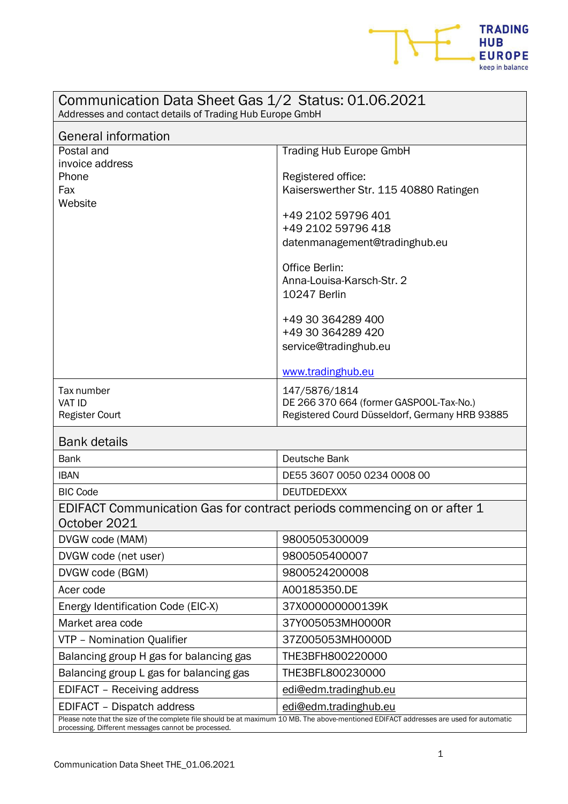

| Communication Data Sheet Gas 1/2 Status: 01.06.2021<br>Addresses and contact details of Trading Hub Europe GmbH                                                                                |                                                                                                                                                                                                                                                                                                                                                  |
|------------------------------------------------------------------------------------------------------------------------------------------------------------------------------------------------|--------------------------------------------------------------------------------------------------------------------------------------------------------------------------------------------------------------------------------------------------------------------------------------------------------------------------------------------------|
| <b>General information</b>                                                                                                                                                                     |                                                                                                                                                                                                                                                                                                                                                  |
| Postal and<br>invoice address<br>Phone<br>Fax<br>Website                                                                                                                                       | <b>Trading Hub Europe GmbH</b><br>Registered office:<br>Kaiserswerther Str. 115 40880 Ratingen<br>+49 2102 59796 401<br>+49 2102 59796 418<br>datenmanagement@tradinghub.eu<br><b>Office Berlin:</b><br>Anna-Louisa-Karsch-Str. 2<br><b>10247 Berlin</b><br>+49 30 364289 400<br>+49 30 364289 420<br>service@tradinghub.eu<br>www.tradinghub.eu |
| Tax number<br><b>VAT ID</b><br><b>Register Court</b>                                                                                                                                           | 147/5876/1814<br>DE 266 370 664 (former GASPOOL-Tax-No.)<br>Registered Courd Düsseldorf, Germany HRB 93885                                                                                                                                                                                                                                       |
| <b>Bank details</b>                                                                                                                                                                            |                                                                                                                                                                                                                                                                                                                                                  |
| <b>Bank</b>                                                                                                                                                                                    | Deutsche Bank                                                                                                                                                                                                                                                                                                                                    |
| <b>IBAN</b>                                                                                                                                                                                    | DE55 3607 0050 0234 0008 00                                                                                                                                                                                                                                                                                                                      |
| <b>BIC Code</b>                                                                                                                                                                                | <b>DEUTDEDEXXX</b>                                                                                                                                                                                                                                                                                                                               |
| EDIFACT Communication Gas for contract periods commencing on or after 1<br>October 2021                                                                                                        |                                                                                                                                                                                                                                                                                                                                                  |
| DVGW code (MAM)                                                                                                                                                                                | 9800505300009                                                                                                                                                                                                                                                                                                                                    |
| DVGW code (net user)                                                                                                                                                                           | 9800505400007                                                                                                                                                                                                                                                                                                                                    |
| DVGW code (BGM)                                                                                                                                                                                | 9800524200008                                                                                                                                                                                                                                                                                                                                    |
| Acer code                                                                                                                                                                                      | A00185350.DE                                                                                                                                                                                                                                                                                                                                     |
| Energy Identification Code (EIC-X)                                                                                                                                                             | 37X000000000139K                                                                                                                                                                                                                                                                                                                                 |
| Market area code                                                                                                                                                                               | 37Y005053MH0000R                                                                                                                                                                                                                                                                                                                                 |
| VTP - Nomination Qualifier                                                                                                                                                                     | 37Z005053MH0000D                                                                                                                                                                                                                                                                                                                                 |
| Balancing group H gas for balancing gas                                                                                                                                                        | THE3BFH800220000                                                                                                                                                                                                                                                                                                                                 |
| Balancing group L gas for balancing gas                                                                                                                                                        | THE3BFL800230000                                                                                                                                                                                                                                                                                                                                 |
| <b>EDIFACT</b> - Receiving address                                                                                                                                                             | edi@edm.tradinghub.eu                                                                                                                                                                                                                                                                                                                            |
| EDIFACT - Dispatch address                                                                                                                                                                     | edi@edm.tradinghub.eu                                                                                                                                                                                                                                                                                                                            |
| Please note that the size of the complete file should be at maximum 10 MB. The above-mentioned EDIFACT addresses are used for automatic<br>processing. Different messages cannot be processed. |                                                                                                                                                                                                                                                                                                                                                  |